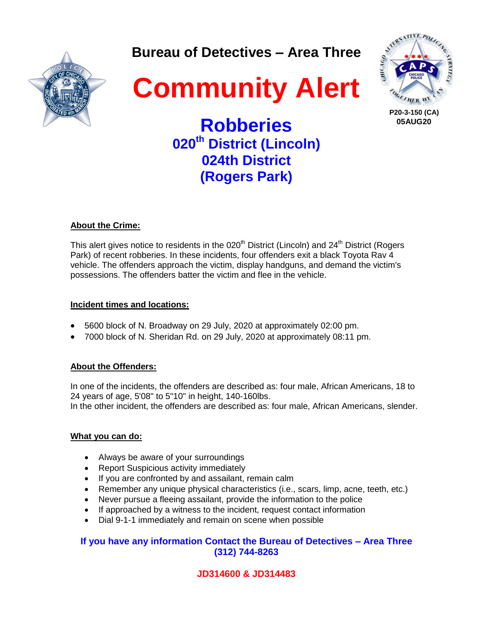**Bureau of Detectives – Area Three**







 **P20-3-150 (CA) 05AUG20**

**Robberies 020th District (Lincoln) 024th District (Rogers Park)**

### **About the Crime:**

This alert gives notice to residents in the  $020<sup>th</sup>$  District (Lincoln) and  $24<sup>th</sup>$  District (Rogers Park) of recent robberies. In these incidents, four offenders exit a black Toyota Rav 4 vehicle. The offenders approach the victim, display handguns, and demand the victim's possessions. The offenders batter the victim and flee in the vehicle.

### **Incident times and locations:**

- 5600 block of N. Broadway on 29 July, 2020 at approximately 02:00 pm.
- 7000 block of N. Sheridan Rd. on 29 July, 2020 at approximately 08:11 pm.

### **About the Offenders:**

In one of the incidents, the offenders are described as: four male, African Americans, 18 to 24 years of age, 5'08" to 5"10" in height, 140-160lbs.

In the other incident, the offenders are described as: four male, African Americans, slender.

### **What you can do:**

- Always be aware of your surroundings
- Report Suspicious activity immediately
- If you are confronted by and assailant, remain calm
- Remember any unique physical characteristics (i.e., scars, limp, acne, teeth, etc.)
- Never pursue a fleeing assailant, provide the information to the police
- If approached by a witness to the incident, request contact information
- Dial 9-1-1 immediately and remain on scene when possible

## **If you have any information Contact the Bureau of Detectives – Area Three (312) 744-8263**

## **JD314600 & JD314483**